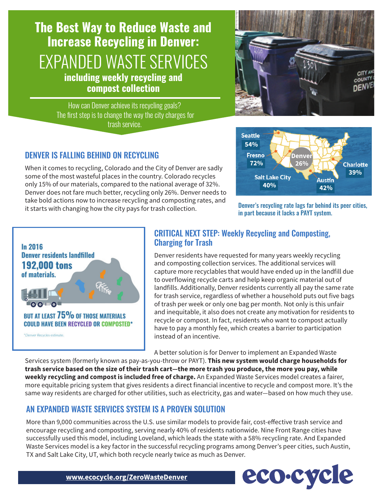# The Best Way to Reduce Waste and Increase Recycling in Denver: EXPANDED WASTE SERVICES including weekly recycling and compost collection

How can Denver achieve its recycling goals? The first step is to change the way the city charges for trash service.



# DENVER IS FALLING BEHIND ON RECYCLING

When it comes to recycling, Colorado and the City of Denver are sadly some of the most wasteful places in the country. Colorado recycles only 15% of our materials, compared to the national average of 32%. Denver does not fare much better, recycling only 26%. Denver needs to take bold actions now to increase recycling and composting rates, and it starts with changing how the city pays for trash collection. Denver's recycling rate lags far behind its peer cities,



in part because it lacks a PAYT system.



### CRITICAL NEXT STEP: Weekly Recycling and Composting, Charging for Trash

Denver residents have requested for many years weekly recycling and composting collection services. The additional services will capture more recyclables that would have ended up in the landfill due to overflowing recycle carts and help keep organic material out of landfills. Additionally, Denver residents currently all pay the same rate for trash service, regardless of whether a household puts out five bags of trash per week or only one bag per month. Not only is this unfair and inequitable, it also does not create any motivation for residents to recycle or compost. In fact, residents who want to compost actually have to pay a monthly fee, which creates a barrier to participation instead of an incentive.

A better solution is for Denver to implement an Expanded Waste

Services system (formerly known as pay-as-you-throw or PAYT). **This new system would charge households for trash service based on the size of their trash cart—the more trash you produce, the more you pay, while weekly recycling and compost is included free of charge.** An Expanded Waste Services model creates a fairer, more equitable pricing system that gives residents a direct financial incentive to recycle and compost more. It's the same way residents are charged for other utilities, such as electricity, gas and water—based on how much they use.

# AN EXPANDED WASTE SERVICES SYSTEM IS A PROVEN SOLUTION

More than 9,000 communities across the U.S. use similar models to provide fair, cost-effective trash service and encourage recycling and composting, serving nearly 40% of residents nationwide. Nine Front Range cities have successfully used this model, including Loveland, which leads the state with a 58% recycling rate. And Expanded Waste Services model is a key factor in the successful recycling programs among Denver's peer cities, such Austin, TX and Salt Lake City, UT, which both recycle nearly twice as much as Denver.



**[www.ecocycle.org/ZeroWasteDenver](http://www.ecocycle.org/take-action/denver)**